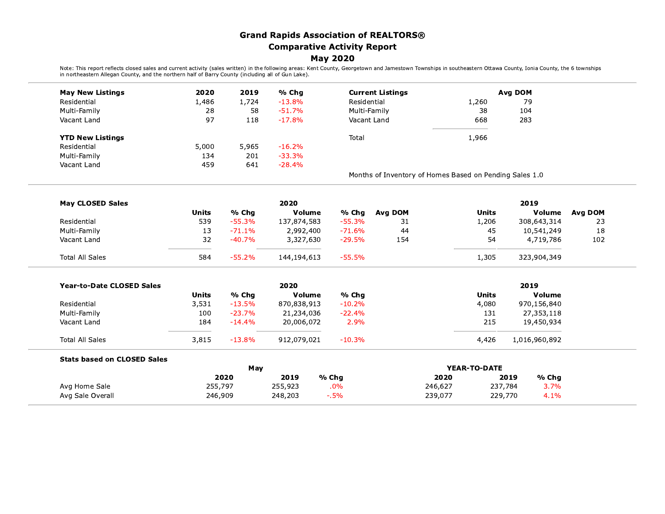## **Grand Rapids Association of REALTORS® Comparative Activity Report**

## **May 2020**

Note: This report reflects closed sales and current activity (sales written) in the following areas: Kent County, Georgetown and Jamestown Townships in southeastern Ottawa County, Ionia County, the 6 townships in and the p

| <b>May New Listings</b>            | 2020<br>2019<br>% Chq<br><b>Current Listings</b> |          |             | Avg DOM      |                                                         |              |                 |         |
|------------------------------------|--------------------------------------------------|----------|-------------|--------------|---------------------------------------------------------|--------------|-----------------|---------|
| Residential                        | 1,486                                            | 1,724    | $-13.8%$    | Residential  |                                                         | 1,260        | 79              |         |
| Multi-Family                       | 28                                               | 58       | $-51.7%$    | Multi-Family |                                                         | 38           | 104             |         |
| Vacant Land                        | 97                                               | 118      | $-17.8%$    | Vacant Land  |                                                         | 668          | 283             |         |
| <b>YTD New Listings</b>            |                                                  |          |             | Total        |                                                         | 1,966        |                 |         |
| Residential                        | 5,000                                            | 5,965    | $-16.2%$    |              |                                                         |              |                 |         |
| Multi-Family                       | 134                                              | 201      | $-33.3%$    |              |                                                         |              |                 |         |
| Vacant Land                        | 459                                              | 641      | $-28.4%$    |              |                                                         |              |                 |         |
|                                    |                                                  |          |             |              | Months of Inventory of Homes Based on Pending Sales 1.0 |              |                 |         |
| <b>May CLOSED Sales</b>            |                                                  |          | 2020        |              |                                                         |              | 2019            |         |
|                                    | <b>Units</b>                                     | % Chg    | Volume      | % Chq        | Avg DOM                                                 | <b>Units</b> | <b>Volume</b>   | Avg DOM |
| Residential                        | 539                                              | $-55.3%$ | 137,874,583 | $-55.3%$     | 31                                                      | 1,206        | 308,643,314     | 23      |
| Multi-Family                       | 13                                               | $-71.1%$ | 2,992,400   | $-71.6%$     | 44                                                      | 45           | 10,541,249      | 18      |
| Vacant Land                        | 32                                               | $-40.7%$ | 3,327,630   | $-29.5%$     | 154                                                     | 54           | 4,719,786       | 102     |
| <b>Total All Sales</b>             | 584                                              | $-55.2%$ | 144,194,613 | $-55.5%$     |                                                         | 1,305        | 323,904,349     |         |
| <b>Year-to-Date CLOSED Sales</b>   |                                                  |          | 2020        |              |                                                         |              | 2019            |         |
|                                    | <b>Units</b>                                     | % Chg    | Volume      | % Chg        |                                                         | <b>Units</b> | Volume          |         |
| Residential                        | 3,531                                            | $-13.5%$ | 870,838,913 | $-10.2%$     |                                                         | 4,080        | 970,156,840     |         |
| Multi-Family                       | 100                                              | $-23.7%$ | 21,234,036  | $-22.4%$     |                                                         | 131          | 27,353,118      |         |
| Vacant Land                        | 184                                              | $-14.4%$ | 20,006,072  | 2.9%         |                                                         | 215          | 19,450,934      |         |
| <b>Total All Sales</b>             | 3,815                                            | $-13.8%$ | 912,079,021 | $-10.3%$     |                                                         | 4,426        | 1,016,960,892   |         |
| <b>Stats based on CLOSED Sales</b> |                                                  |          |             |              |                                                         |              |                 |         |
|                                    |                                                  | May      |             |              | YEAR-TO-DATE                                            |              |                 |         |
|                                    |                                                  | 2020     | 2019        | % Chq        | 2020                                                    |              | 2019<br>$%$ Chg |         |
| Avg Home Sale                      | 255,797                                          |          | 255,923     | .0%          | 246,627                                                 |              | 237,784<br>3.7% |         |
| Avg Sale Overall                   | 246,909                                          |          | 248,203     | $-0.5\%$     | 239,077                                                 |              | 4.1%<br>229,770 |         |

 $\overline{\phantom{a}}$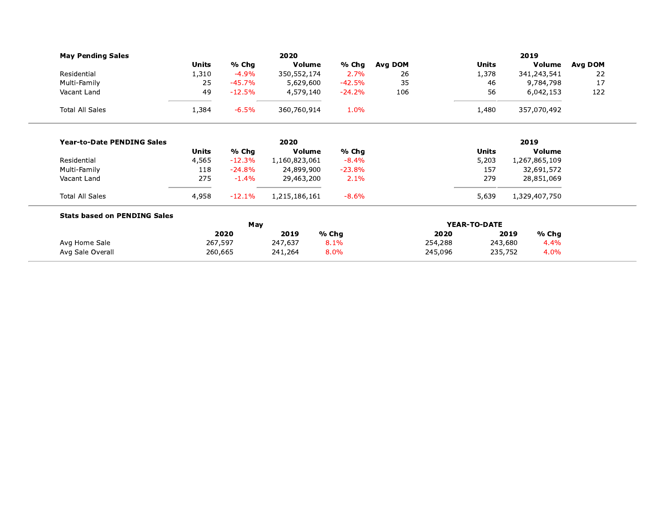|              |          | 2020            |                        |                                                                                                                                                         |         |                 | 2019            |                                                                                                                                                                                   |
|--------------|----------|-----------------|------------------------|---------------------------------------------------------------------------------------------------------------------------------------------------------|---------|-----------------|-----------------|-----------------------------------------------------------------------------------------------------------------------------------------------------------------------------------|
| <b>Units</b> | % Chg    |                 | % Chg                  | Avg DOM                                                                                                                                                 |         | <b>Units</b>    |                 | Avg DOM                                                                                                                                                                           |
| 1,310        | $-4.9%$  |                 | 2.7%                   | 26                                                                                                                                                      |         | 1,378           |                 | 22                                                                                                                                                                                |
| 25           | $-45.7%$ |                 | $-42.5%$               | 35                                                                                                                                                      |         | 46              |                 | 17                                                                                                                                                                                |
| 49           | $-12.5%$ |                 | $-24.2%$               | 106                                                                                                                                                     |         | 56              |                 | 122                                                                                                                                                                               |
| 1,384        | $-6.5%$  |                 | 1.0%                   |                                                                                                                                                         |         | 1,480           |                 |                                                                                                                                                                                   |
|              |          | 2020            |                        |                                                                                                                                                         |         |                 | 2019            |                                                                                                                                                                                   |
| <b>Units</b> | % Chg    |                 | % Chg                  |                                                                                                                                                         |         | <b>Units</b>    |                 |                                                                                                                                                                                   |
| 4,565        | $-12.3%$ |                 | $-8.4%$                |                                                                                                                                                         |         | 5,203           |                 |                                                                                                                                                                                   |
| 118          | $-24.8%$ |                 | $-23.8%$               |                                                                                                                                                         |         | 157             |                 |                                                                                                                                                                                   |
| 275          | $-1.4%$  |                 | 2.1%                   |                                                                                                                                                         |         | 279             |                 |                                                                                                                                                                                   |
| 4,958        | $-12.1%$ |                 | $-8.6%$                |                                                                                                                                                         |         | 5,639           |                 |                                                                                                                                                                                   |
|              |          |                 |                        |                                                                                                                                                         |         |                 |                 |                                                                                                                                                                                   |
|              |          |                 |                        |                                                                                                                                                         |         |                 |                 |                                                                                                                                                                                   |
|              |          |                 |                        |                                                                                                                                                         |         |                 |                 |                                                                                                                                                                                   |
|              | 260,665  | 241,264         | 8.0%                   |                                                                                                                                                         | 245,096 |                 | 4.0%<br>235,752 |                                                                                                                                                                                   |
|              |          | 2020<br>267,597 | May<br>2019<br>247,637 | Volume<br>350,552,174<br>5,629,600<br>4,579,140<br>360,760,914<br>Volume<br>1,160,823,061<br>24,899,900<br>29,463,200<br>1,215,186,161<br>% Chg<br>8.1% |         | 2020<br>254,288 | YEAR-TO-DATE    | Volume<br>341,243,541<br>9,784,798<br>6,042,153<br>357,070,492<br><b>Volume</b><br>1,267,865,109<br>32,691,572<br>28,851,069<br>1,329,407,750<br>% Chg<br>2019<br>243,680<br>4.4% |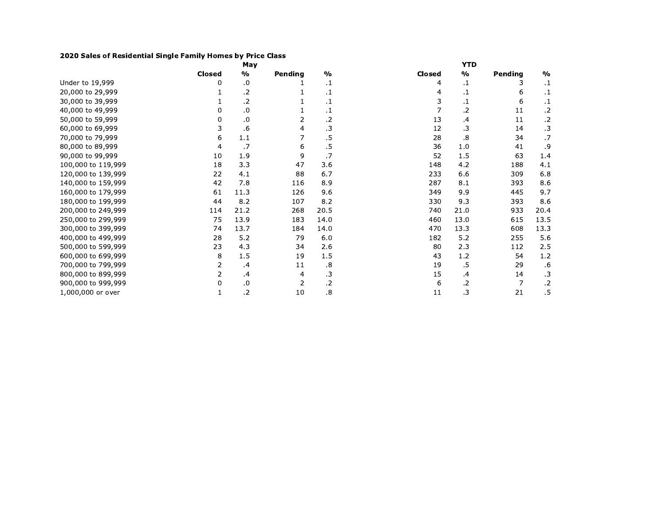## 2020 Sales of Residential Single Family Homes by Price Class

|                    |        | May           |         |                   |        | <b>YTD</b>    |         |               |
|--------------------|--------|---------------|---------|-------------------|--------|---------------|---------|---------------|
|                    | Closed | $\frac{0}{0}$ | Pending | $\frac{0}{0}$     | Closed | $\frac{0}{0}$ | Pending | $\frac{0}{0}$ |
| Under to 19,999    | 0      | .0            |         | $\cdot$ 1         | 4      | .1            | 3       | $\cdot$ 1     |
| 20,000 to 29,999   |        | .2            |         | $\cdot$ 1         | 4      | .1            | 6       | $\cdot$ 1     |
| 30,000 to 39,999   |        | .2            |         | $\cdot$ 1         | 3      | .1            | 6       | $\cdot$ 1     |
| 40,000 to 49,999   | 0      | $\cdot$       |         | $\cdot$ 1         |        | .2            | 11      | $\cdot$       |
| 50,000 to 59,999   | 0      | .0            | 2       | .2                | 13     | .4            | 11      | $\cdot$ .2    |
| 60,000 to 69,999   | 3      | .6            | 4       | $\cdot$ 3         | 12     | .3            | 14      | $\cdot$ 3     |
| 70,000 to 79,999   | 6      | 1.1           |         | .5                | 28     | .8            | 34      | .7            |
| 80,000 to 89,999   | 4      | .7            | 6       | .5                | 36     | 1.0           | 41      | .9            |
| 90,000 to 99,999   | 10     | 1.9           | 9       | .7                | 52     | 1.5           | 63      | 1.4           |
| 100,000 to 119,999 | 18     | 3.3           | 47      | 3.6               | 148    | 4.2           | 188     | 4.1           |
| 120,000 to 139,999 | 22     | 4.1           | 88      | 6.7               | 233    | 6.6           | 309     | 6.8           |
| 140,000 to 159,999 | 42     | 7.8           | 116     | 8.9               | 287    | 8.1           | 393     | 8.6           |
| 160,000 to 179,999 | 61     | 11.3          | 126     | 9.6               | 349    | 9.9           | 445     | 9.7           |
| 180,000 to 199,999 | 44     | 8.2           | 107     | 8.2               | 330    | 9.3           | 393     | 8.6           |
| 200,000 to 249,999 | 114    | 21.2          | 268     | 20.5              | 740    | 21.0          | 933     | 20.4          |
| 250,000 to 299,999 | 75     | 13.9          | 183     | 14.0              | 460    | 13.0          | 615     | 13.5          |
| 300,000 to 399,999 | 74     | 13.7          | 184     | 14.0              | 470    | 13.3          | 608     | 13.3          |
| 400,000 to 499,999 | 28     | 5.2           | 79      | 6.0               | 182    | 5.2           | 255     | 5.6           |
| 500,000 to 599,999 | 23     | 4.3           | 34      | 2.6               | 80     | 2.3           | 112     | 2.5           |
| 600,000 to 699,999 | 8      | 1.5           | 19      | 1.5               | 43     | 1.2           | 54      | 1.2           |
| 700,000 to 799,999 | 2      | .4            | 11      | $\boldsymbol{.8}$ | 19     | .5            | 29      | .6            |
| 800,000 to 899,999 | 2      | $\cdot$       | 4       | $\cdot$ 3         | 15     | .4            | 14      | $\cdot$ 3     |
| 900,000 to 999,999 | 0      | $\cdot$ 0     | 2       | $\cdot$ .2        | 6      | .2            | 7       | $\cdot$       |
| 1,000,000 or over  | 1      | .2            | 10      | 8.                | 11     | .3            | 21      | $.5\,$        |